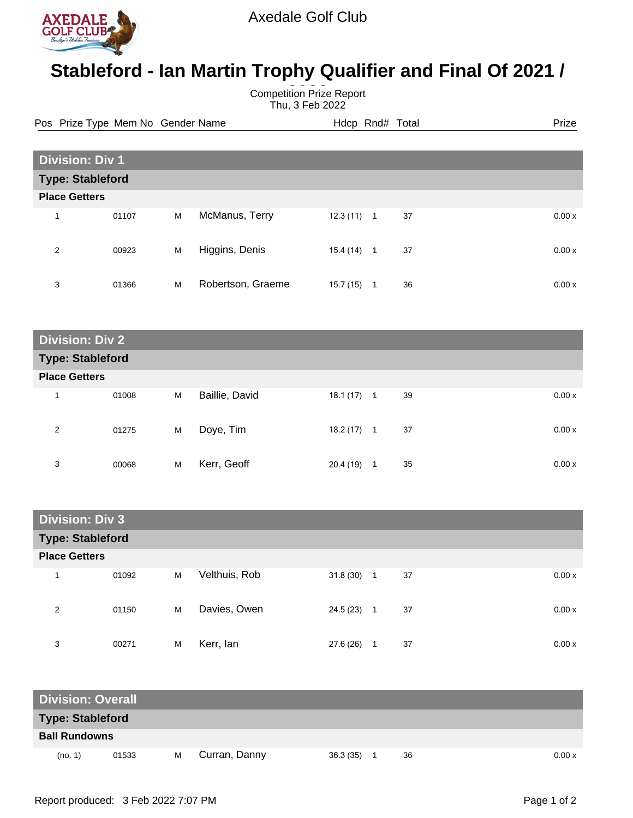

## **Stableford - Ian Martin Trophy Qualifier and Final Of 2021 /**

**Competition Prize Report** Thu, 3 Feb 2022

Pos Prize Type Mem No Gender Name **Heath Hotel Hotel Rnd# Total** Prize

| <b>Division: Div 1</b>  |       |   |                   |           |                |    |       |
|-------------------------|-------|---|-------------------|-----------|----------------|----|-------|
| <b>Type: Stableford</b> |       |   |                   |           |                |    |       |
| <b>Place Getters</b>    |       |   |                   |           |                |    |       |
| $\overline{\mathbf{A}}$ | 01107 | M | McManus, Terry    | 12.3(11)  | $\overline{1}$ | 37 | 0.00x |
| 2                       | 00923 | M | Higgins, Denis    | 15.4 (14) | $\mathbf{1}$   | 37 | 0.00x |
| 3                       | 01366 | M | Robertson, Graeme | 15.7(15)  | 1              | 36 | 0.00x |

| <b>Division: Div 2</b>  |       |   |                |              |    |    |       |  |  |
|-------------------------|-------|---|----------------|--------------|----|----|-------|--|--|
| <b>Type: Stableford</b> |       |   |                |              |    |    |       |  |  |
| <b>Place Getters</b>    |       |   |                |              |    |    |       |  |  |
| 1                       | 01008 | M | Baillie, David | 18.1 (17)    | -1 | 39 | 0.00x |  |  |
| 2                       | 01275 | M | Doye, Tim      | $18.2(17)$ 1 |    | 37 | 0.00x |  |  |
| 3                       | 00068 | M | Kerr, Geoff    | 20.4 (19)    | 1  | 35 | 0.00x |  |  |

| <b>Division: Div 3</b>  |       |   |               |           |                  |    |       |
|-------------------------|-------|---|---------------|-----------|------------------|----|-------|
| <b>Type: Stableford</b> |       |   |               |           |                  |    |       |
| <b>Place Getters</b>    |       |   |               |           |                  |    |       |
| 1                       | 01092 | M | Velthuis, Rob | 31.8(30)  | $\blacksquare$ 1 | 37 | 0.00x |
| 2                       | 01150 | M | Davies, Owen  | 24.5 (23) | $\overline{1}$   | 37 | 0.00x |
| 3                       | 00271 | M | Kerr, lan     | 27.6 (26) |                  | 37 | 0.00x |

| <b>Division: Overall</b> |       |   |               |           |    |        |
|--------------------------|-------|---|---------------|-----------|----|--------|
| <b>Type: Stableford</b>  |       |   |               |           |    |        |
| <b>Ball Rundowns</b>     |       |   |               |           |    |        |
| (no. 1)                  | 01533 | М | Curran, Danny | 36.3 (35) | 36 | 0.00 x |